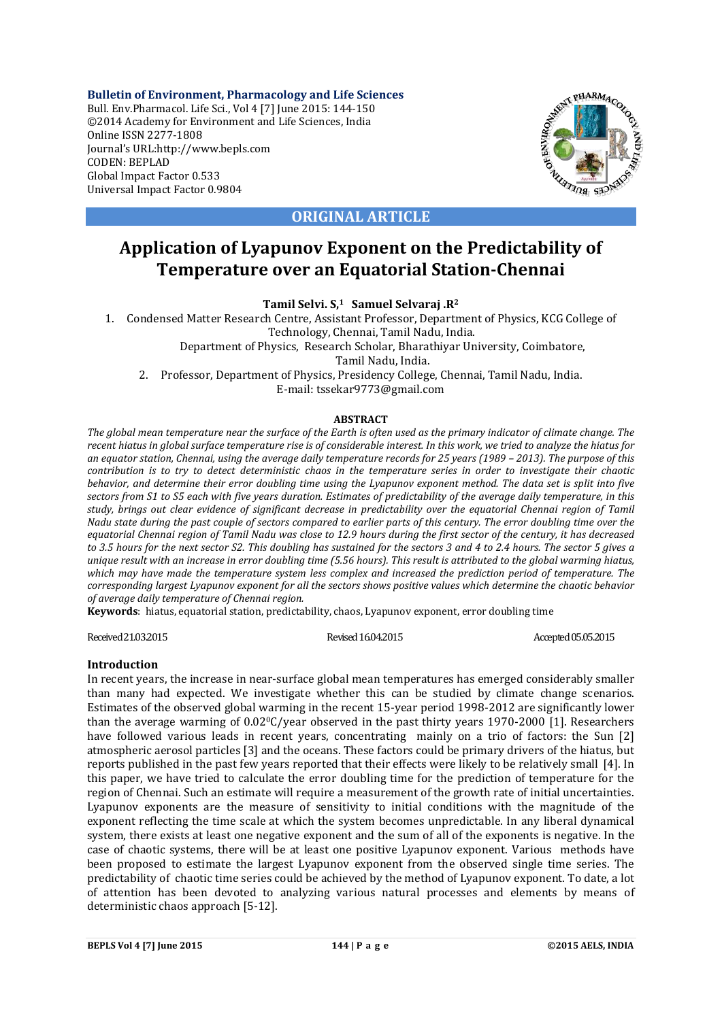**Bulletin of Environment, Pharmacology and Life Sciences** Bull. Env.Pharmacol. Life Sci., Vol 4 [7] June 2015: 144-150 ©2014 Academy for Environment and Life Sciences, India Online ISSN 2277-1808 Journal's URL:http://www.bepls.com CODEN: BEPLAD Global Impact Factor 0.533 Universal Impact Factor 0.9804



**ORIGINAL ARTICLE**

# **Application of Lyapunov Exponent on the Predictability of Temperature over an Equatorial Station-Chennai**

**Tamil Selvi. S,1 Samuel Selvaraj .R2**

1. Condensed Matter Research Centre, Assistant Professor, Department of Physics, KCG College of Technology, Chennai, Tamil Nadu, India.

Department of Physics, Research Scholar, Bharathiyar University, Coimbatore,

Tamil Nadu, India.

2. Professor, Department of Physics, Presidency College, Chennai, Tamil Nadu, India. E-mail: tssekar9773@gmail.com

# **ABSTRACT**

*The global mean temperature near the surface of the Earth is often used as the primary indicator of climate change. The recent hiatus in global surface temperature rise is of considerable interest. In this work, we tried to analyze the hiatus for an equator station, Chennai, using the average daily temperature records for 25 years (1989 – 2013). The purpose of this contribution is to try to detect deterministic chaos in the temperature series in order to investigate their chaotic behavior, and determine their error doubling time using the Lyapunov exponent method. The data set is split into five sectors from S1 to S5 each with five years duration. Estimates of predictability of the average daily temperature, in this study, brings out clear evidence of significant decrease in predictability over the equatorial Chennai region of Tamil Nadu state during the past couple of sectors compared to earlier parts of this century. The error doubling time over the equatorial Chennai region of Tamil Nadu was close to 12.9 hours during the first sector of the century, it has decreased to 3.5 hours for the next sector S2. This doubling has sustained for the sectors 3 and 4 to 2.4 hours. The sector 5 gives a unique result with an increase in error doubling time (5.56 hours). This result is attributed to the global warming hiatus, which may have made the temperature system less complex and increased the prediction period of temperature. The corresponding largest Lyapunov exponent for all the sectors shows positive values which determine the chaotic behavior of average daily temperature of Chennai region.*

**Keywords**: hiatus, equatorial station, predictability, chaos, Lyapunov exponent, error doubling time

Received 21.03.2015 Revised 16.04.2015 Revised 16.04.2015 Accepted 05.05.2015

# **Introduction**

In recent years, the increase in near-surface global mean temperatures has emerged considerably smaller than many had expected. We investigate whether this can be studied by climate change scenarios. Estimates of the observed global warming in the recent 15-year period 1998-2012 are significantly lower than the average warming of 0.02°C/year observed in the past thirty years 1970-2000 [1]. Researchers have followed various leads in recent years, concentrating mainly on a trio of factors: the Sun [2] atmospheric aerosol particles [3] and the oceans. These factors could be primary drivers of the hiatus, but reports published in the past few years reported that their effects were likely to be relatively small [4]. In this paper, we have tried to calculate the error doubling time for the prediction of temperature for the region of Chennai. Such an estimate will require a measurement of the growth rate of initial uncertainties. Lyapunov exponents are the measure of sensitivity to initial conditions with the magnitude of the exponent reflecting the time scale at which the system becomes unpredictable. In any liberal dynamical system, there exists at least one negative exponent and the sum of all of the exponents is negative. In the case of chaotic systems, there will be at least one positive Lyapunov exponent. Various methods have been proposed to estimate the largest Lyapunov exponent from the observed single time series. The predictability of chaotic time series could be achieved by the method of Lyapunov exponent. To date, a lot of attention has been devoted to analyzing various natural processes and elements by means of deterministic chaos approach [5-12].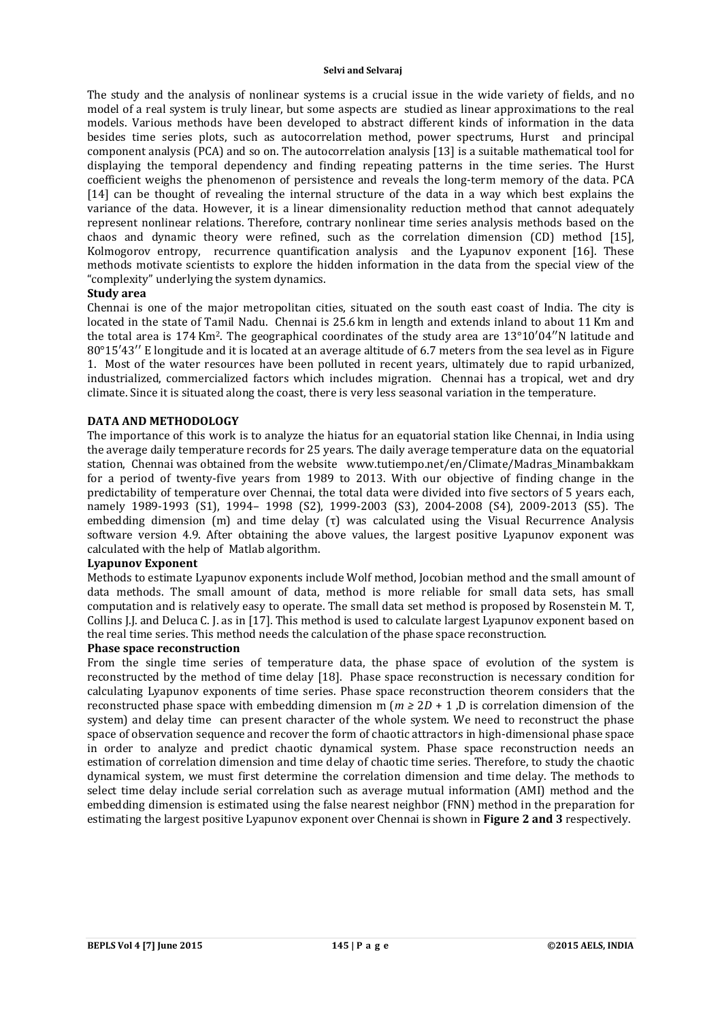The study and the analysis of nonlinear systems is a crucial issue in the wide variety of fields, and no model of a real system is truly linear, but some aspects are studied as linear approximations to the real models. Various methods have been developed to abstract different kinds of information in the data besides time series plots, such as autocorrelation method, power spectrums, Hurst and principal component analysis (PCA) and so on. The autocorrelation analysis [13] is a suitable mathematical tool for displaying the temporal dependency and finding repeating patterns in the time series. The Hurst coefficient weighs the phenomenon of persistence and reveals the long-term memory of the data. PCA [14] can be thought of revealing the internal structure of the data in a way which best explains the variance of the data. However, it is a linear dimensionality reduction method that cannot adequately represent nonlinear relations. Therefore, contrary nonlinear time series analysis methods based on the chaos and dynamic theory were refined, such as the correlation dimension (CD) method [15], Kolmogorov entropy, recurrence quantification analysis and the Lyapunov exponent [16]. These methods motivate scientists to explore the hidden information in the data from the special view of the "complexity" underlying the system dynamics.

# **Study area**

Chennai is one of the major metropolitan cities, situated on the south east coast of India. The city is located in the state of Tamil Nadu. Chennai is 25.6 km in length and extends inland to about 11 Km and the total area is 174 Km2. The geographical coordinates of the study area are 13°10′04′′N latitude and 80°15′43′′ E longitude and it is located at an average altitude of 6.7 meters from the sea level as in Figure 1. Most of the water resources have been polluted in recent years, ultimately due to rapid urbanized, industrialized, commercialized factors which includes migration. Chennai has a tropical, wet and dry climate. Since it is situated along the coast, there is very less seasonal variation in the temperature.

#### **DATA AND METHODOLOGY**

The importance of this work is to analyze the hiatus for an equatorial station like Chennai, in India using the average daily temperature records for 25 years. The daily average temperature data on the equatorial station, Chennai was obtained from the website www.tutiempo.net/en/Climate/Madras\_Minambakkam for a period of twenty-five years from 1989 to 2013. With our objective of finding change in the predictability of temperature over Chennai, the total data were divided into five sectors of 5 years each, namely 1989-1993 (S1), 1994– 1998 (S2), 1999-2003 (S3), 2004-2008 (S4), 2009-2013 (S5). The embedding dimension (m) and time delay (τ) was calculated using the Visual Recurrence Analysis software version 4.9. After obtaining the above values, the largest positive Lyapunov exponent was calculated with the help of Matlab algorithm.

#### **Lyapunov Exponent**

Methods to estimate Lyapunov exponents include Wolf method, Jocobian method and the small amount of data methods. The small amount of data, method is more reliable for small data sets, has small computation and is relatively easy to operate. The small data set method is proposed by Rosenstein M. T, Collins J.J. and Deluca C. J. as in [17]. This method is used to calculate largest Lyapunov exponent based on the real time series. This method needs the calculation of the phase space reconstruction.

### **Phase space reconstruction**

From the single time series of temperature data, the phase space of evolution of the system is reconstructed by the method of time delay [18]. Phase space reconstruction is necessary condition for calculating Lyapunov exponents of time series. Phase space reconstruction theorem considers that the reconstructed phase space with embedding dimension m ( $m \geq 2D + 1$ , D is correlation dimension of the system) and delay time can present character of the whole system. We need to reconstruct the phase space of observation sequence and recover the form of chaotic attractors in high-dimensional phase space in order to analyze and predict chaotic dynamical system. Phase space reconstruction needs an estimation of correlation dimension and time delay of chaotic time series. Therefore, to study the chaotic dynamical system, we must first determine the correlation dimension and time delay. The methods to select time delay include serial correlation such as average mutual information (AMI) method and the embedding dimension is estimated using the false nearest neighbor (FNN) method in the preparation for estimating the largest positive Lyapunov exponent over Chennai is shown in **Figure 2 and 3** respectively.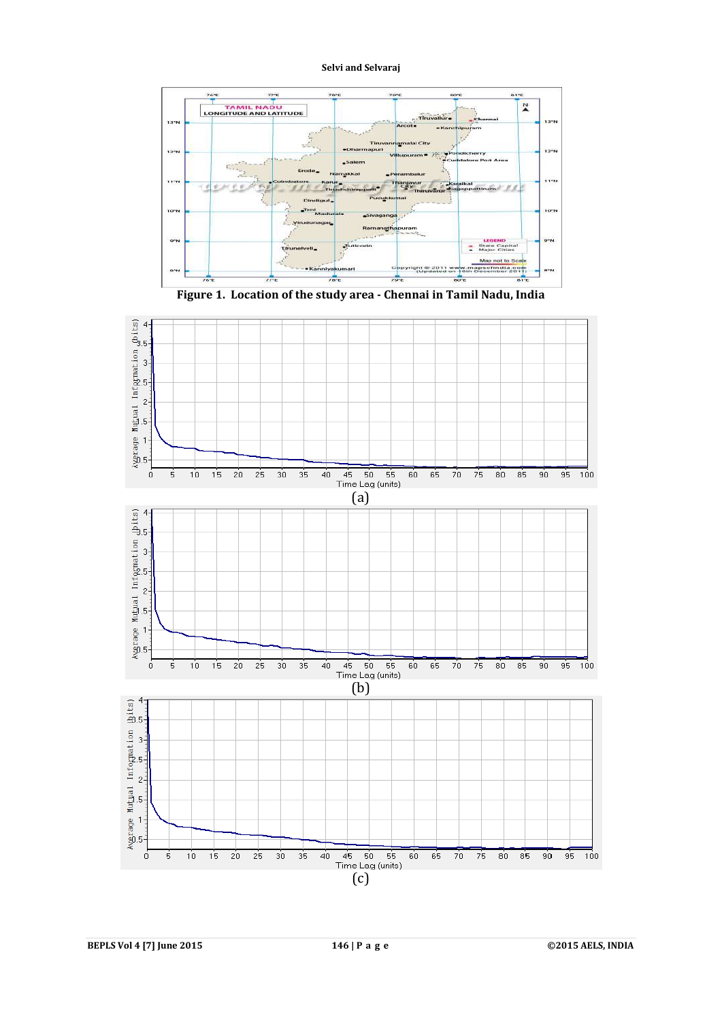





**BEPLS Vol 4 [7] June 2015 146 | P a g e ©2015 AELS, INDIA**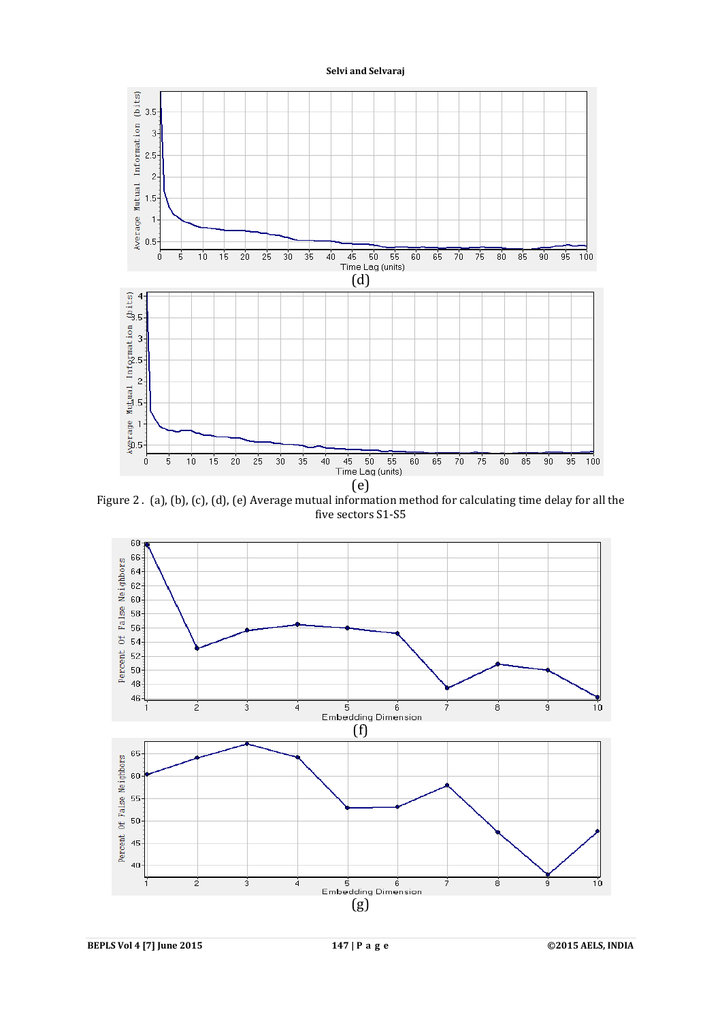

Figure 2 . (a), (b), (c), (d), (e) Average mutual information method for calculating time delay for all the five sectors S1-S5



**BEPLS Vol 4 [7] June 2015 147 | P a g e ©2015 AELS, INDIA**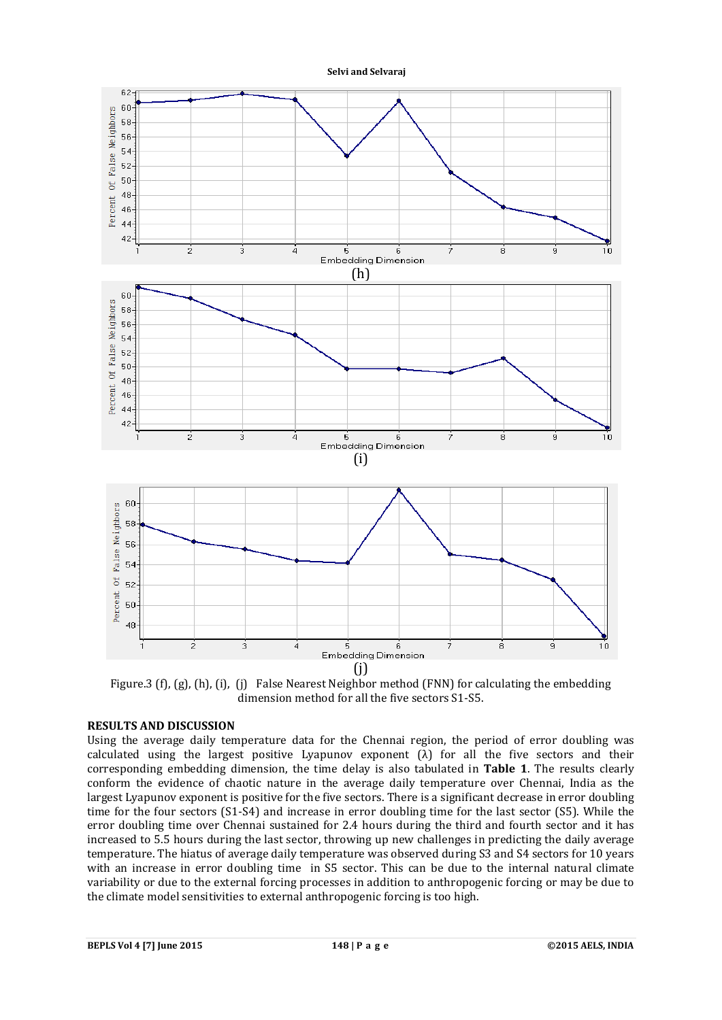

Figure.3 (f), (g), (h), (i), (j) False Nearest Neighbor method (FNN) for calculating the embedding dimension method for all the five sectors S1-S5.

# **RESULTS AND DISCUSSION**

Using the average daily temperature data for the Chennai region, the period of error doubling was calculated using the largest positive Lyapunov exponent  $(\lambda)$  for all the five sectors and their corresponding embedding dimension, the time delay is also tabulated in **Table 1**. The results clearly conform the evidence of chaotic nature in the average daily temperature over Chennai, India as the largest Lyapunov exponent is positive for the five sectors. There is a significant decrease in error doubling time for the four sectors (S1-S4) and increase in error doubling time for the last sector (S5). While the error doubling time over Chennai sustained for 2.4 hours during the third and fourth sector and it has increased to 5.5 hours during the last sector, throwing up new challenges in predicting the daily average temperature. The hiatus of average daily temperature was observed during S3 and S4 sectors for 10 years with an increase in error doubling time in S5 sector. This can be due to the internal natural climate variability or due to the external forcing processes in addition to anthropogenic forcing or may be due to the climate model sensitivities to external anthropogenic forcing is too high.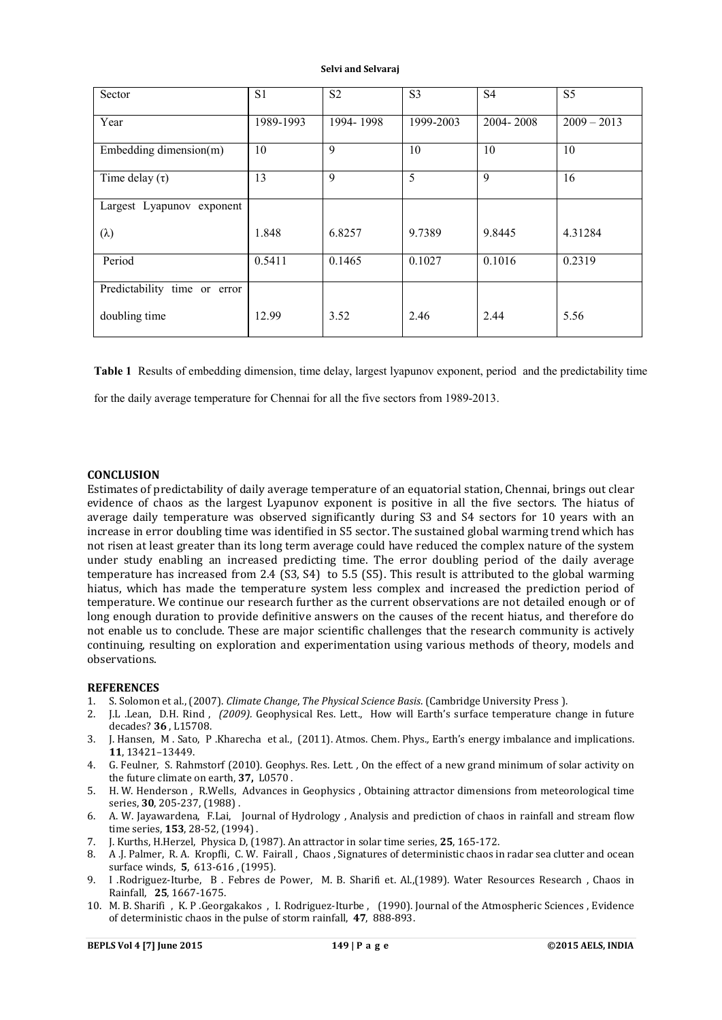| Sector                       | S <sub>1</sub> | S <sub>2</sub> | S <sub>3</sub> | S <sub>4</sub> | S <sub>5</sub> |
|------------------------------|----------------|----------------|----------------|----------------|----------------|
| Year                         | 1989-1993      | 1994-1998      | 1999-2003      | 2004-2008      | $2009 - 2013$  |
| Embedding dimension(m)       | 10             | 9              | 10             | 10             | 10             |
| Time delay $(\tau)$          | 13             | 9              | 5              | $\mathbf Q$    | 16             |
| Largest Lyapunov exponent    |                |                |                |                |                |
| $(\lambda)$                  | 1.848          | 6.8257         | 9.7389         | 9.8445         | 4.31284        |
| Period                       | 0.5411         | 0.1465         | 0.1027         | 0.1016         | 0.2319         |
| Predictability time or error |                |                |                |                |                |
| doubling time                | 12.99          | 3.52           | 2.46           | 2.44           | 5.56           |

**Table 1** Results of embedding dimension, time delay, largest lyapunov exponent, period and the predictability time

for the daily average temperature for Chennai for all the five sectors from 1989-2013.

#### **CONCLUSION**

Estimates of predictability of daily average temperature of an equatorial station, Chennai, brings out clear evidence of chaos as the largest Lyapunov exponent is positive in all the five sectors. The hiatus of average daily temperature was observed significantly during S3 and S4 sectors for 10 years with an increase in error doubling time was identified in S5 sector. The sustained global warming trend which has not risen at least greater than its long term average could have reduced the complex nature of the system under study enabling an increased predicting time. The error doubling period of the daily average temperature has increased from 2.4 (S3, S4) to 5.5 (S5). This result is attributed to the global warming hiatus, which has made the temperature system less complex and increased the prediction period of temperature. We continue our research further as the current observations are not detailed enough or of long enough duration to provide definitive answers on the causes of the recent hiatus, and therefore do not enable us to conclude. These are major scientific challenges that the research community is actively continuing, resulting on exploration and experimentation using various methods of theory, models and observations.

#### **REFERENCES**

- 1. S. Solomon et al., (2007). *Climate Change*, *The Physical Science Basis*. (Cambridge University Press ).
- 2. J.L .Lean, D.H. Rind , *(2009).* Geophysical Res. Lett., How will Earth's surface temperature change in future decades? **36** , L15708.
- 3. J. Hansen, M . Sato, P .Kharecha et al., (2011). Atmos. Chem. Phys.*,* Earth's energy imbalance and implications. **11**, 13421–13449.
- 4. G. Feulner, S. Rahmstorf (2010). Geophys. Res. Lett*. ,* On the effect of a new grand minimum of solar activity on the future climate on earth, **37,** L0570 .
- 5. H. W. Henderson , R.Wells, Advances in Geophysics , Obtaining attractor dimensions from meteorological time series, **30**, 205-237, (1988) .
- 6. A. W. Jayawardena, F.Lai, Journal of Hydrology , Analysis and prediction of chaos in rainfall and stream flow time series, **153**, 28-52, (1994) .
- 7. J. Kurths, H.Herzel, Physica D, (1987). An attractor in solar time series, **25**, 165-172.
- 8. A .J. Palmer, R. A. Kropfli, C. W. Fairall , Chaos , Signatures of deterministic chaos in radar sea clutter and ocean surface winds, **5**, 613-616 , (1995).
- 9. I .Rodriguez-Iturbe, B . Febres de Power, M. B. Sharifi et. Al.,(1989). Water Resources Research , Chaos in Rainfall, **25**, 1667-1675.
- 10. M. B. Sharifi , K. P .Georgakakos , I. Rodriguez-Iturbe , (1990). Journal of the Atmospheric Sciences , Evidence of deterministic chaos in the pulse of storm rainfall, **47**, 888-893.